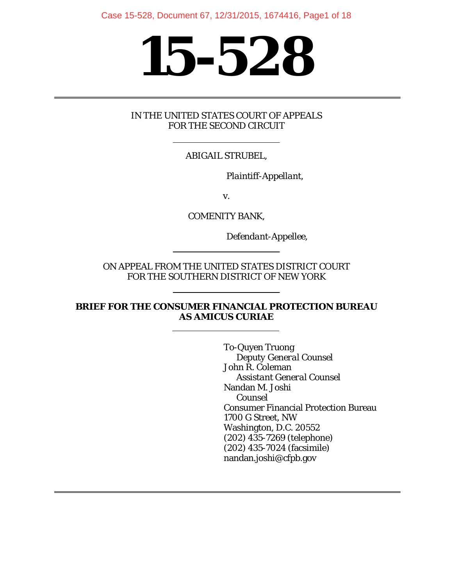# **15-528**

#### IN THE UNITED STATES COURT OF APPEALS FOR THE SECOND CIRCUIT

### ABIGAIL STRUBEL,

*Plaintiff-Appellant,* 

v.

COMENITY BANK,

*Defendant-Appellee*,

ON APPEAL FROM THE UNITED STATES DISTRICT COURT FOR THE SOUTHERN DISTRICT OF NEW YORK

#### **BRIEF FOR THE CONSUMER FINANCIAL PROTECTION BUREAU AS** *AMICUS CURIAE*

To-Quyen Truong *Deputy General Counsel* John R. Coleman *Assistant General Counsel* Nandan M. Joshi *Counsel* Consumer Financial Protection Bureau 1700 G Street, NW Washington, D.C. 20552 (202) 435-7269 (telephone) (202) 435-7024 (facsimile) nandan.joshi@cfpb.gov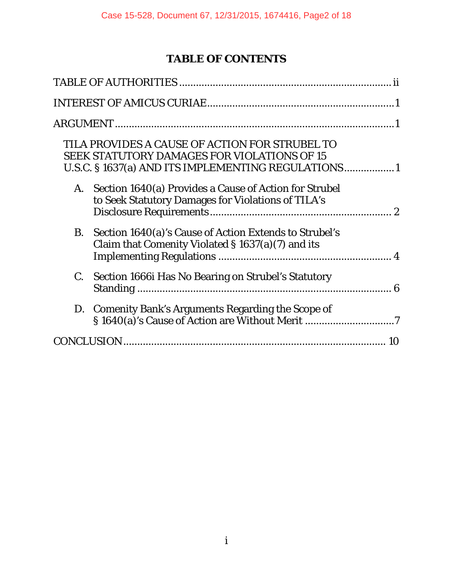# **TABLE OF CONTENTS**

| TILA PROVIDES A CAUSE OF ACTION FOR STRUBEL TO<br><b>SEEK STATUTORY DAMAGES FOR VIOLATIONS OF 15</b><br>U.S.C. § 1637(a) AND ITS IMPLEMENTING REGULATIONS1 |
|------------------------------------------------------------------------------------------------------------------------------------------------------------|
| Section 1640(a) Provides a Cause of Action for Strubel<br>A.<br>to Seek Statutory Damages for Violations of TILA's                                         |
| <b>B.</b><br>Section 1640(a)'s Cause of Action Extends to Strubel's<br>Claim that Comenity Violated § 1637(a)(7) and its                                   |
| $C_{\cdot}$<br>Section 1666 Has No Bearing on Strubel's Statutory                                                                                          |
| D. Comenity Bank's Arguments Regarding the Scope of                                                                                                        |
|                                                                                                                                                            |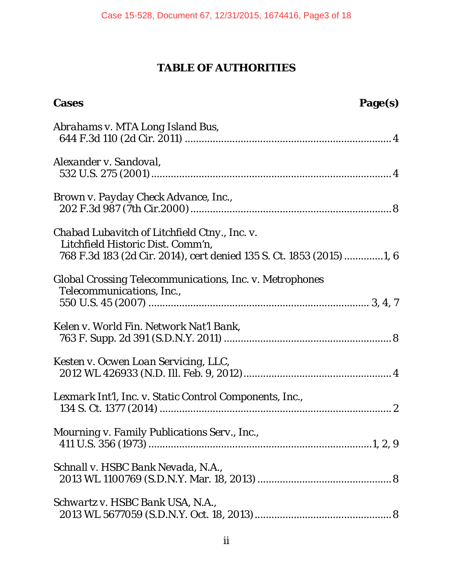# **TABLE OF AUTHORITIES**

| <b>Cases</b><br>Page(s)                                                                                                                                    |
|------------------------------------------------------------------------------------------------------------------------------------------------------------|
| Abrahams v. MTA Long Island Bus,                                                                                                                           |
| Alexander v. Sandoval,                                                                                                                                     |
| Brown v. Payday Check Advance, Inc.,                                                                                                                       |
| Chabad Lubavitch of Litchfield Ctny., Inc. v.<br>Litchfield Historic Dist. Comm'n,<br>768 F.3d 183 (2d Cir. 2014), cert denied 135 S. Ct. 1853 (2015) 1, 6 |
| Global Crossing Telecommunications, Inc. v. Metrophones<br>Telecommunications, Inc.,                                                                       |
| Kelen v. World Fin. Network Nat'l Bank,                                                                                                                    |
| Kesten v. Ocwen Loan Servicing, LLC,                                                                                                                       |
| Lexmark Int'l, Inc. v. Static Control Components, Inc.,                                                                                                    |
| Mourning v. Family Publications Serv., Inc.,                                                                                                               |
| Schnall v. HSBC Bank Nevada, N.A.,                                                                                                                         |
| Schwartz v. HSBC Bank USA, N.A.,                                                                                                                           |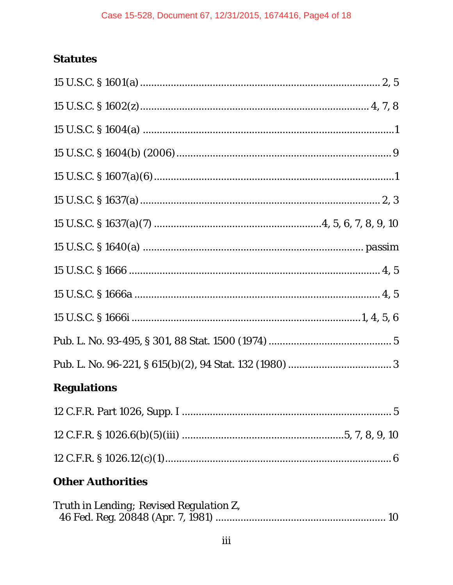# **Statutes**

| <b>Regulations</b> |  |
|--------------------|--|
|                    |  |

# **Other Authorities**

| Truth in Lending; Revised Regulation Z, |  |
|-----------------------------------------|--|
|                                         |  |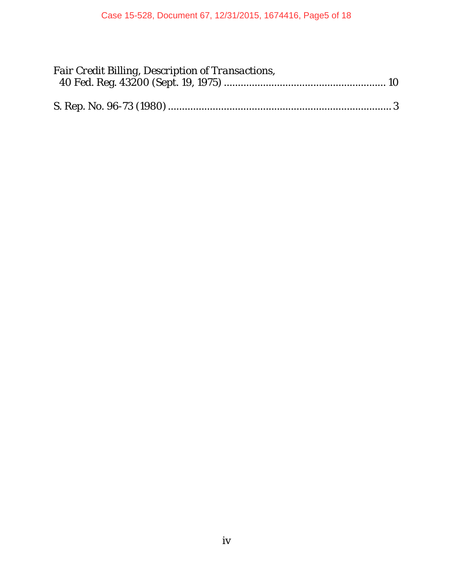| <b>Fair Credit Billing, Description of Transactions,</b> |  |
|----------------------------------------------------------|--|
|                                                          |  |
|                                                          |  |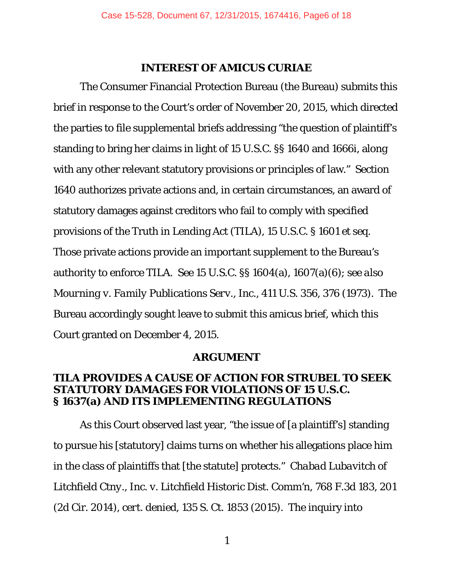#### **INTEREST OF AMICUS CURIAE**

The Consumer Financial Protection Bureau (the Bureau) submits this brief in response to the Court's order of November 20, 2015, which directed the parties to file supplemental briefs addressing "the question of plaintiff's standing to bring her claims in light of 15 U.S.C. §§ 1640 and 1666i, along with any other relevant statutory provisions or principles of law." Section 1640 authorizes private actions and, in certain circumstances, an award of statutory damages against creditors who fail to comply with specified provisions of the Truth in Lending Act (TILA), 15 U.S.C. § 1601 *et seq.* Those private actions provide an important supplement to the Bureau's authority to enforce TILA. *See* 15 U.S.C. §§ 1604(a), 1607(a)(6); *see also Mourning v. Family Publications Serv., Inc.*, 411 U.S. 356, 376 (1973). The Bureau accordingly sought leave to submit this amicus brief, which this Court granted on December 4, 2015.

#### **ARGUMENT**

## **TILA PROVIDES A CAUSE OF ACTION FOR STRUBEL TO SEEK STATUTORY DAMAGES FOR VIOLATIONS OF 15 U.S.C. § 1637(a) AND ITS IMPLEMENTING REGULATIONS**

As this Court observed last year, "the issue of [a plaintiff's] standing to pursue his [statutory] claims turns on whether his allegations place him in the class of plaintiffs that [the statute] protects." *Chabad Lubavitch of Litchfield Ctny., Inc. v. Litchfield Historic Dist. Comm'n*, 768 F.3d 183, 201 (2d Cir. 2014), *cert. denied*, 135 S. Ct. 1853 (2015). The inquiry into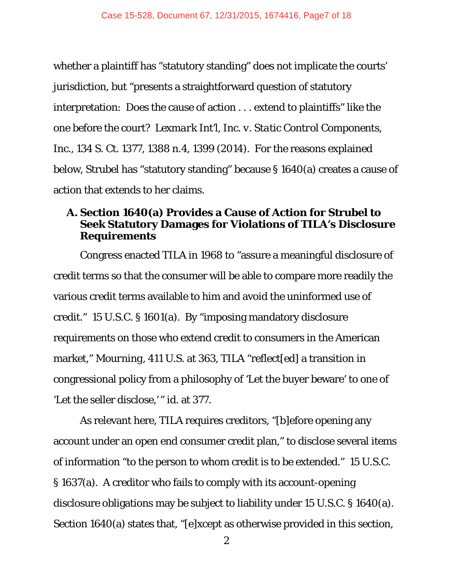whether a plaintiff has "statutory standing" does not implicate the courts' jurisdiction, but "presents a straightforward question of statutory interpretation: Does the cause of action . . . extend to plaintiffs" like the one before the court? *Lexmark Int'l, Inc. v. Static Control Components, Inc.*, 134 S. Ct. 1377, 1388 n.4, 1399 (2014). For the reasons explained below, Strubel has "statutory standing" because § 1640(a) creates a cause of action that extends to her claims.

# **A. Section 1640(a) Provides a Cause of Action for Strubel to Seek Statutory Damages for Violations of TILA's Disclosure Requirements**

Congress enacted TILA in 1968 to "assure a meaningful disclosure of credit terms so that the consumer will be able to compare more readily the various credit terms available to him and avoid the uninformed use of credit." 15 U.S.C. § 1601(a). By "imposing mandatory disclosure requirements on those who extend credit to consumers in the American market," *Mourning*, 411 U.S. at 363, TILA "reflect[ed] a transition in congressional policy from a philosophy of 'Let the buyer beware' to one of 'Let the seller disclose,' " *id.* at 377.

As relevant here, TILA requires creditors, "[b]efore opening any account under an open end consumer credit plan," to disclose several items of information "to the person to whom credit is to be extended." 15 U.S.C. § 1637(a). A creditor who fails to comply with its account-opening disclosure obligations may be subject to liability under 15 U.S.C. § 1640(a). Section 1640(a) states that, "[e]xcept as otherwise provided in this section,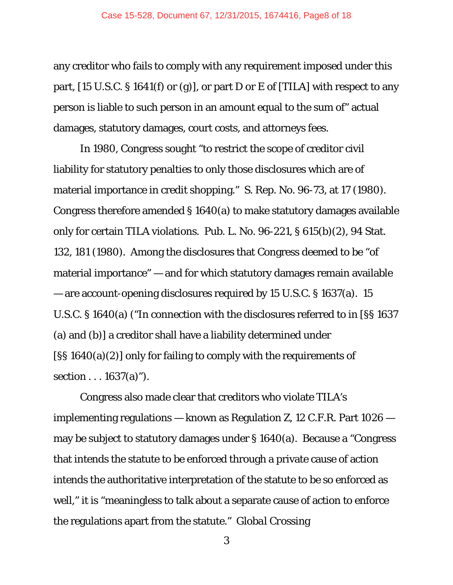any creditor who fails to comply with any requirement imposed under this part,  $[15 \text{ U.S.C.} \$   $[1641(f) \text{ or } (g)]$ , or part D or E of  $[TILA]$  with respect to any person is liable to such person in an amount equal to the sum of" actual damages, statutory damages, court costs, and attorneys fees.

In 1980, Congress sought "to restrict the scope of creditor civil liability for statutory penalties to only those disclosures which are of material importance in credit shopping." S. Rep. No. 96-73, at 17 (1980). Congress therefore amended § 1640(a) to make statutory damages available only for certain TILA violations. Pub. L. No. 96-221, § 615(b)(2), 94 Stat. 132, 181 (1980). Among the disclosures that Congress deemed to be "of material importance" — and for which statutory damages remain available — are account-opening disclosures required by 15 U.S.C. § 1637(a). 15 U.S.C. § 1640(a) ("In connection with the disclosures referred to in [§§ 1637 (a) and (b)] a creditor shall have a liability determined under [§§ 1640(a)(2)] only for failing to comply with the requirements of section . . . 1637(a)").

Congress also made clear that creditors who violate TILA's implementing regulations — known as Regulation Z, 12 C.F.R. Part 1026 may be subject to statutory damages under § 1640(a). Because a "Congress that intends the statute to be enforced through a private cause of action intends the authoritative interpretation of the statute to be so enforced as well," it is "meaningless to talk about a separate cause of action to enforce the regulations apart from the statute." *Global Crossing*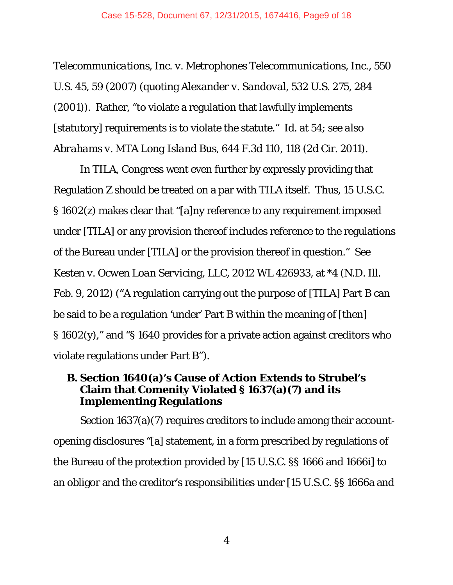*Telecommunications, Inc. v. Metrophones Telecommunications, Inc.*, 550 U.S. 45, 59 (2007) (quoting *Alexander v. Sandoval*, 532 U.S. 275, 284 (2001)). Rather, "to violate a regulation that lawfully implements [statutory] requirements *is* to violate the statute." *Id.* at 54; *see also Abrahams v. MTA Long Island Bus*, 644 F.3d 110, 118 (2d Cir. 2011).

In TILA, Congress went even further by expressly providing that Regulation Z should be treated on a par with TILA itself. Thus, 15 U.S.C. § 1602(z) makes clear that "[a]ny reference to any requirement imposed under [TILA] or any provision thereof includes reference to the regulations of the Bureau under [TILA] or the provision thereof in question." *See Kesten v. Ocwen Loan Servicing, LLC*, 2012 WL 426933, at \*4 (N.D. Ill. Feb. 9, 2012) ("A regulation carrying out the purpose of [TILA] Part B can be said to be a regulation 'under' Part B within the meaning of [then] § 1602(y)," and "§ 1640 provides for a private action against creditors who violate regulations under Part B").

# **B. Section 1640(a)'s Cause of Action Extends to Strubel's Claim that Comenity Violated § 1637(a)(7) and its Implementing Regulations**

Section 1637(a)(7) requires creditors to include among their accountopening disclosures "[a] statement, in a form prescribed by regulations of the Bureau of the protection provided by [15 U.S.C. §§ 1666 and 1666i] to an obligor and the creditor's responsibilities under [15 U.S.C. §§ 1666a and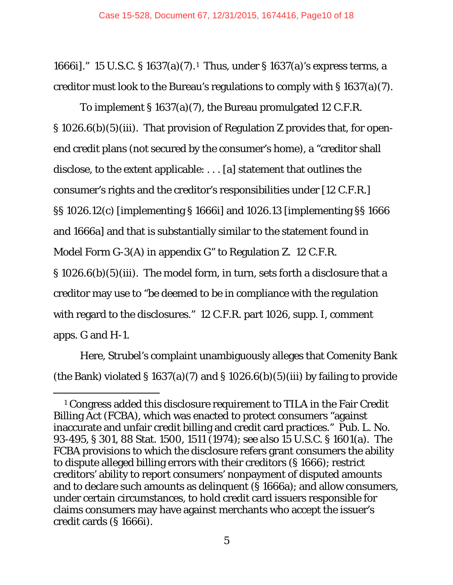1666i]." 15 U.S.C. § 1637(a)(7).1 Thus, under § 1637(a)'s express terms, a creditor must look to the Bureau's regulations to comply with § 1637(a)(7).

To implement § 1637(a)(7), the Bureau promulgated 12 C.F.R. § 1026.6(b)(5)(iii). That provision of Regulation Z provides that, for openend credit plans (not secured by the consumer's home), a "creditor shall disclose, to the extent applicable: . . . [a] statement that outlines the consumer's rights and the creditor's responsibilities under [12 C.F.R.] §§ 1026.12(c) [implementing § 1666i] and 1026.13 [implementing §§ 1666 and 1666a] and that is substantially similar to the statement found in Model Form G-3(A) in appendix G" to Regulation Z. 12 C.F.R. § 1026.6(b)(5)(iii). The model form, in turn, sets forth a disclosure that a creditor may use to "be deemed to be in compliance with the regulation

with regard to the disclosures." 12 C.F.R. part 1026, supp. I, comment apps. G and H-1.

Here, Strubel's complaint unambiguously alleges that Comenity Bank (the Bank) violated § 1637(a)(7) and § 1026.6(b)(5)(iii) by failing to provide

 <sup>1</sup> Congress added this disclosure requirement to TILA in the Fair Credit Billing Act (FCBA), which was enacted to protect consumers "against inaccurate and unfair credit billing and credit card practices." Pub. L. No. 93-495, § 301, 88 Stat. 1500, 1511 (1974); *see also* 15 U.S.C. § 1601(a). The FCBA provisions to which the disclosure refers grant consumers the ability to dispute alleged billing errors with their creditors (§ 1666); restrict creditors' ability to report consumers' nonpayment of disputed amounts and to declare such amounts as delinquent (§ 1666a); and allow consumers, under certain circumstances, to hold credit card issuers responsible for claims consumers may have against merchants who accept the issuer's credit cards (§ 1666i).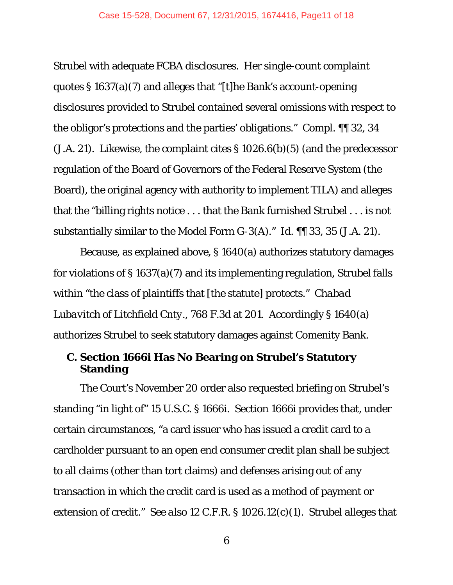Strubel with adequate FCBA disclosures. Her single-count complaint quotes § 1637(a)(7) and alleges that "[t]he Bank's account-opening disclosures provided to Strubel contained several omissions with respect to the obligor's protections and the parties' obligations." Compl. ¶¶ 32, 34 (J.A. 21). Likewise, the complaint cites § 1026.6(b)(5) (and the predecessor regulation of the Board of Governors of the Federal Reserve System (the Board), the original agency with authority to implement TILA) and alleges that the "billing rights notice . . . that the Bank furnished Strubel . . . is not substantially similar to the Model Form G-3(A)." *Id.* ¶¶ 33, 35 (J.A. 21).

Because, as explained above, § 1640(a) authorizes statutory damages for violations of § 1637(a)(7) and its implementing regulation, Strubel falls within "the class of plaintiffs that [the statute] protects." *Chabad Lubavitch of Litchfield Cnty.*, 768 F.3d at 201. Accordingly § 1640(a) authorizes Strubel to seek statutory damages against Comenity Bank.

# **C. Section 1666i Has No Bearing on Strubel's Statutory Standing**

The Court's November 20 order also requested briefing on Strubel's standing "in light of" 15 U.S.C. § 1666i. Section 1666i provides that, under certain circumstances, "a card issuer who has issued a credit card to a cardholder pursuant to an open end consumer credit plan shall be subject to all claims (other than tort claims) and defenses arising out of any transaction in which the credit card is used as a method of payment or extension of credit." *See also* 12 C.F.R. § 1026.12(c)(1). Strubel alleges that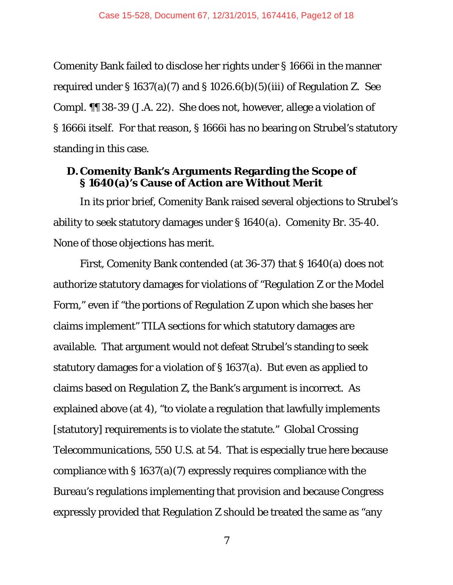Comenity Bank failed to disclose her rights under § 1666i in the manner required under § 1637(a)(7) and § 1026.6(b)(5)(iii) of Regulation Z. *See* Compl. ¶¶ 38-39 (J.A. 22). She does not, however, allege a violation of § 1666i itself. For that reason, § 1666i has no bearing on Strubel's statutory standing in this case.

# **D.Comenity Bank's Arguments Regarding the Scope of § 1640(a)'s Cause of Action are Without Merit**

In its prior brief, Comenity Bank raised several objections to Strubel's ability to seek statutory damages under § 1640(a). Comenity Br. 35-40. None of those objections has merit.

First, Comenity Bank contended (at 36-37) that § 1640(a) does not authorize statutory damages for violations of "Regulation Z or the Model Form," even if "the portions of Regulation Z upon which she bases her claims implement" TILA sections for which statutory damages are available. That argument would not defeat Strubel's standing to seek statutory damages for a violation of § 1637(a). But even as applied to claims based on Regulation Z, the Bank's argument is incorrect. As explained above (at 4), "to violate a regulation that lawfully implements [statutory] requirements *is* to violate the statute." *Global Crossing Telecommunications,* 550 U.S. at 54. That is especially true here because compliance with § 1637(a)(7) expressly requires compliance with the Bureau's regulations implementing that provision and because Congress expressly provided that Regulation Z should be treated the same as "any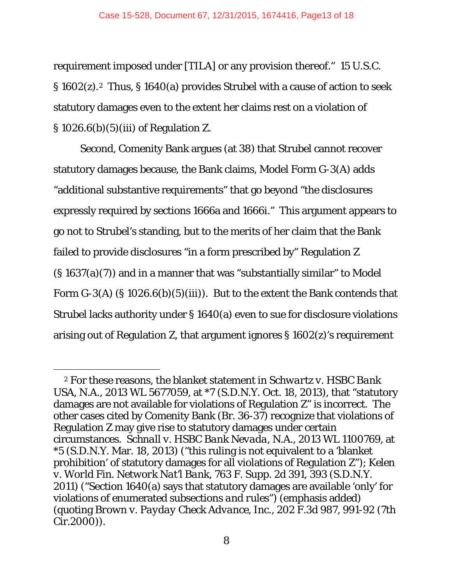requirement imposed under [TILA] or any provision thereof." 15 U.S.C. § 1602(z).2 Thus, § 1640(a) provides Strubel with a cause of action to seek statutory damages even to the extent her claims rest on a violation of § 1026.6(b)(5)(iii) of Regulation Z.

Second, Comenity Bank argues (at 38) that Strubel cannot recover statutory damages because, the Bank claims, Model Form G-3(A) adds "additional substantive requirements" that go beyond "the disclosures expressly required by sections 1666a and 1666i." This argument appears to go not to Strubel's standing, but to the merits of her claim that the Bank failed to provide disclosures "in a form prescribed by" Regulation Z (§ 1637(a)(7)) and in a manner that was "substantially similar" to Model Form  $G-3(A)$  (§ 1026.6(b)(5)(iii)). But to the extent the Bank contends that Strubel lacks authority under § 1640(a) even to sue for disclosure violations arising out of Regulation Z, that argument ignores § 1602(z)'s requirement

 <sup>2</sup> For these reasons, the blanket statement in *Schwartz v. HSBC Bank USA, N.A.*, 2013 WL 5677059, at \*7 (S.D.N.Y. Oct. 18, 2013), that "statutory damages are not available for violations of Regulation Z" is incorrect. The other cases cited by Comenity Bank (Br. 36-37) recognize that violations of Regulation Z may give rise to statutory damages under certain circumstances. *Schnall v. HSBC Bank Nevada*, N.A., 2013 WL 1100769, at \*5 (S.D.N.Y. Mar. 18, 2013) ("this ruling is not equivalent to a 'blanket prohibition' of statutory damages for all violations of Regulation Z"); *Kelen v. World Fin. Network Nat'l Bank*, 763 F. Supp. 2d 391, 393 (S.D.N.Y. 2011) ("Section 1640(a) says that statutory damages are available 'only' for violations of enumerated subsections *and rules*") (emphasis added) (quoting *Brown v. Payday Check Advance, Inc*., 202 F.3d 987, 991-92 (7th Cir.2000)).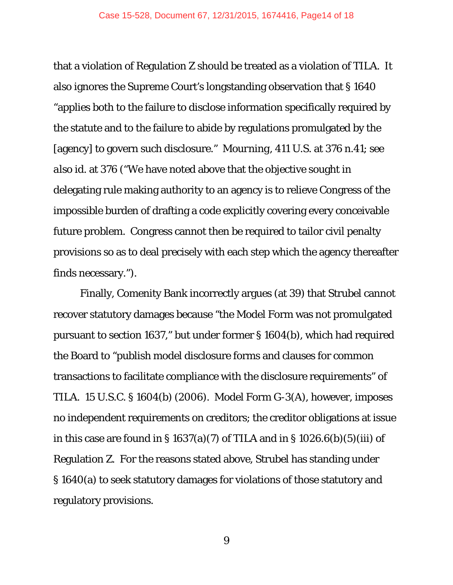that a violation of Regulation Z should be treated as a violation of TILA. It also ignores the Supreme Court's longstanding observation that § 1640 "applies both to the failure to disclose information specifically required by the statute and to the failure to abide by regulations promulgated by the [agency] to govern such disclosure." *Mourning*, 411 U.S. at 376 n.41; *see also id.* at 376 ("We have noted above that the objective sought in delegating rule making authority to an agency is to relieve Congress of the impossible burden of drafting a code explicitly covering every conceivable future problem. Congress cannot then be required to tailor civil penalty provisions so as to deal precisely with each step which the agency thereafter finds necessary.").

Finally, Comenity Bank incorrectly argues (at 39) that Strubel cannot recover statutory damages because "the Model Form was not promulgated pursuant to section 1637," but under former § 1604(b), which had required the Board to "publish model disclosure forms and clauses for common transactions to facilitate compliance with the disclosure requirements" of TILA. 15 U.S.C. § 1604(b) (2006). Model Form G-3(A), however, imposes no independent requirements on creditors; the creditor obligations at issue in this case are found in § 1637(a)(7) of TILA and in § 1026.6(b)(5)(iii) of Regulation Z. For the reasons stated above, Strubel has standing under § 1640(a) to seek statutory damages for violations of those statutory and regulatory provisions.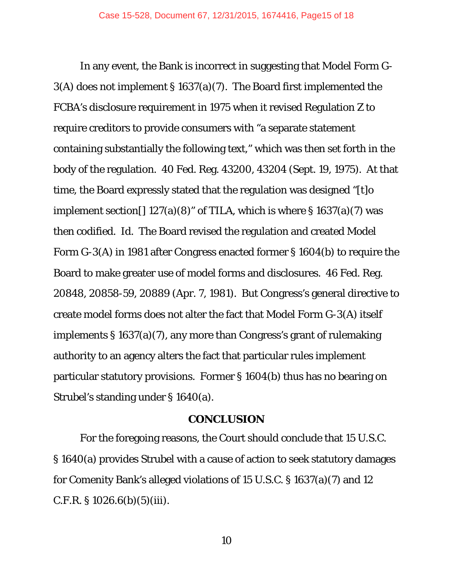In any event, the Bank is incorrect in suggesting that Model Form G-3(A) does not implement § 1637(a)(7). The Board first implemented the FCBA's disclosure requirement in 1975 when it revised Regulation Z to require creditors to provide consumers with "a separate statement containing substantially the following text," which was then set forth in the body of the regulation. 40 Fed. Reg. 43200, 43204 (Sept. 19, 1975). At that time, the Board expressly stated that the regulation was designed "[t]o implement section []  $127(a)(8)$ " of TILA, which is where § 1637(a)(7) was then codified. *Id.* The Board revised the regulation and created Model Form G-3(A) in 1981 after Congress enacted former § 1604(b) to require the Board to make greater use of model forms and disclosures. 46 Fed. Reg. 20848, 20858-59, 20889 (Apr. 7, 1981). But Congress's general directive to create model forms does not alter the fact that Model Form G-3(A) itself implements § 1637(a)(7), any more than Congress's grant of rulemaking authority to an agency alters the fact that particular rules implement particular statutory provisions. Former § 1604(b) thus has no bearing on Strubel's standing under § 1640(a).

#### **CONCLUSION**

For the foregoing reasons, the Court should conclude that 15 U.S.C. § 1640(a) provides Strubel with a cause of action to seek statutory damages for Comenity Bank's alleged violations of 15 U.S.C. § 1637(a)(7) and 12  $C.F.R. § 1026.6(b)(5)(iii).$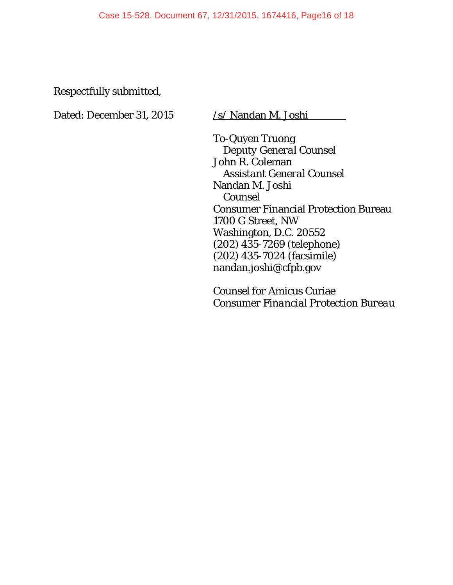Respectfully submitted,

Dated: December 31, 2015 /s/ Nandan M. Joshi

To-Quyen Truong *Deputy General Counsel* John R. Coleman *Assistant General Counsel* Nandan M. Joshi *Counsel*  Consumer Financial Protection Bureau 1700 G Street, NW Washington, D.C. 20552 (202) 435-7269 (telephone) (202) 435-7024 (facsimile) nandan.joshi@cfpb.gov

*Counsel for* Amicus Curiae *Consumer Financial Protection Bureau*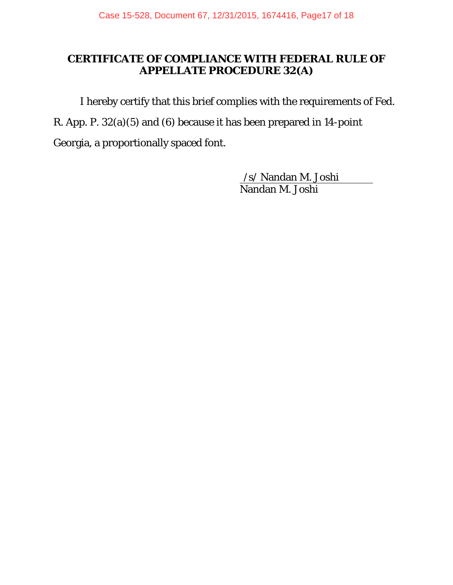# **CERTIFICATE OF COMPLIANCE WITH FEDERAL RULE OF APPELLATE PROCEDURE 32(A)**

I hereby certify that this brief complies with the requirements of Fed. R. App. P. 32(a)(5) and (6) because it has been prepared in 14-point

Georgia, a proportionally spaced font.

/s/ Nandan M. Joshi Nandan M. Joshi